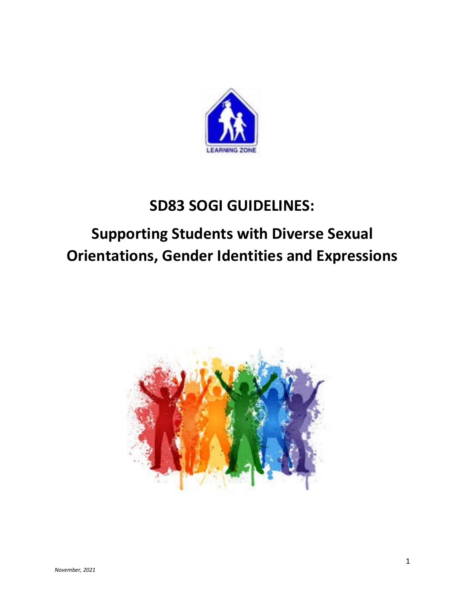

# **SD83 SOGI GUIDELINES:**

# **Supporting Students with Diverse Sexual Orientations, Gender Identities and Expressions**

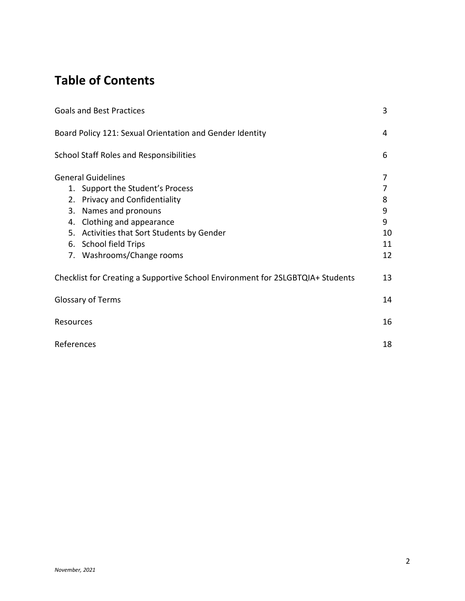# **Table of Contents**

|                                                                                | <b>Goals and Best Practices</b>                          | 3  |
|--------------------------------------------------------------------------------|----------------------------------------------------------|----|
|                                                                                | Board Policy 121: Sexual Orientation and Gender Identity | 4  |
|                                                                                | <b>School Staff Roles and Responsibilities</b>           | 6  |
|                                                                                | <b>General Guidelines</b>                                | 7  |
|                                                                                | 1. Support the Student's Process                         |    |
|                                                                                | 2. Privacy and Confidentiality                           | 8  |
|                                                                                | 3. Names and pronouns                                    | 9  |
|                                                                                | 4. Clothing and appearance                               | 9  |
|                                                                                | 5. Activities that Sort Students by Gender               | 10 |
|                                                                                | 6. School field Trips                                    | 11 |
|                                                                                | 7. Washrooms/Change rooms                                | 12 |
| Checklist for Creating a Supportive School Environment for 2SLGBTQIA+ Students |                                                          | 13 |
| <b>Glossary of Terms</b>                                                       |                                                          | 14 |
| Resources                                                                      |                                                          | 16 |
| References                                                                     |                                                          | 18 |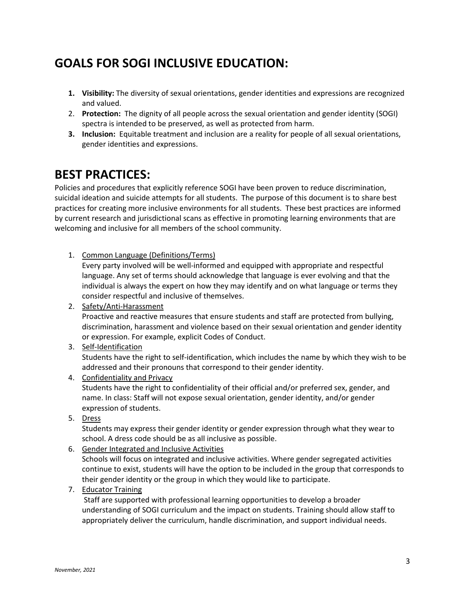# **GOALS FOR SOGI INCLUSIVE EDUCATION:**

- **1. Visibility:** The diversity of sexual orientations, gender identities and expressions are recognized and valued.
- 2. **Protection:** The dignity of all people across the sexual orientation and gender identity (SOGI) spectra is intended to be preserved, as well as protected from harm.
- **3. Inclusion:** Equitable treatment and inclusion are a reality for people of all sexual orientations, gender identities and expressions.

### **BEST PRACTICES:**

Policies and procedures that explicitly reference SOGI have been proven to reduce discrimination, suicidal ideation and suicide attempts for all students. The purpose of this document is to share best practices for creating more inclusive environments for all students. These best practices are informed by current research and jurisdictional scans as effective in promoting learning environments that are welcoming and inclusive for all members of the school community.

1. Common Language (Definitions/Terms)

Every party involved will be well-informed and equipped with appropriate and respectful language. Any set of terms should acknowledge that language is ever evolving and that the individual is always the expert on how they may identify and on what language or terms they consider respectful and inclusive of themselves.

2. Safety/Anti-Harassment

Proactive and reactive measures that ensure students and staff are protected from bullying, discrimination, harassment and violence based on their sexual orientation and gender identity or expression. For example, explicit Codes of Conduct.

3. Self-Identification

Students have the right to self-identification, which includes the name by which they wish to be addressed and their pronouns that correspond to their gender identity.

4. Confidentiality and Privacy

Students have the right to confidentiality of their official and/or preferred sex, gender, and name. In class: Staff will not expose sexual orientation, gender identity, and/or gender expression of students.

5. Dress

Students may express their gender identity or gender expression through what they wear to school. A dress code should be as all inclusive as possible.

6. Gender Integrated and Inclusive Activities

Schools will focus on integrated and inclusive activities. Where gender segregated activities continue to exist, students will have the option to be included in the group that corresponds to their gender identity or the group in which they would like to participate.

7. Educator Training

Staff are supported with professional learning opportunities to develop a broader understanding of SOGI curriculum and the impact on students. Training should allow staff to appropriately deliver the curriculum, handle discrimination, and support individual needs.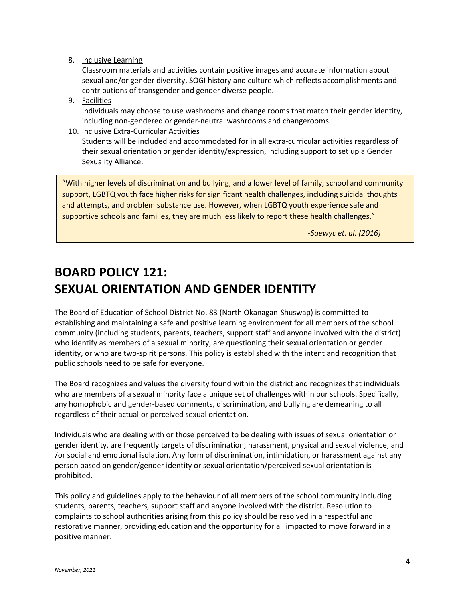#### 8. Inclusive Learning

Classroom materials and activities contain positive images and accurate information about sexual and/or gender diversity, SOGI history and culture which reflects accomplishments and contributions of transgender and gender diverse people.

- 9. Facilities Individuals may choose to use washrooms and change rooms that match their gender identity, including non-gendered or gender-neutral washrooms and changerooms.
- 10. Inclusive Extra-Curricular Activities Students will be included and accommodated for in all extra-curricular activities regardless of their sexual orientation or gender identity/expression, including support to set up a Gender Sexuality Alliance.

"With higher levels of discrimination and bullying, and a lower level of family, school and community support, LGBTQ youth face higher risks for significant health challenges, including suicidal thoughts and attempts, and problem substance use. However, when LGBTQ youth experience safe and supportive schools and families, they are much less likely to report these health challenges."

*-Saewyc et. al. (2016)*

# **BOARD POLICY 121: SEXUAL ORIENTATION AND GENDER IDENTITY**

The Board of Education of School District No. 83 (North Okanagan-Shuswap) is committed to establishing and maintaining a safe and positive learning environment for all members of the school community (including students, parents, teachers, support staff and anyone involved with the district) who identify as members of a sexual minority, are questioning their sexual orientation or gender identity, or who are two-spirit persons. This policy is established with the intent and recognition that public schools need to be safe for everyone.

The Board recognizes and values the diversity found within the district and recognizes that individuals who are members of a sexual minority face a unique set of challenges within our schools. Specifically, any homophobic and gender-based comments, discrimination, and bullying are demeaning to all regardless of their actual or perceived sexual orientation.

Individuals who are dealing with or those perceived to be dealing with issues of sexual orientation or gender identity, are frequently targets of discrimination, harassment, physical and sexual violence, and /or social and emotional isolation. Any form of discrimination, intimidation, or harassment against any person based on gender/gender identity or sexual orientation/perceived sexual orientation is prohibited.

This policy and guidelines apply to the behaviour of all members of the school community including students, parents, teachers, support staff and anyone involved with the district. Resolution to complaints to school authorities arising from this policy should be resolved in a respectful and restorative manner, providing education and the opportunity for all impacted to move forward in a positive manner.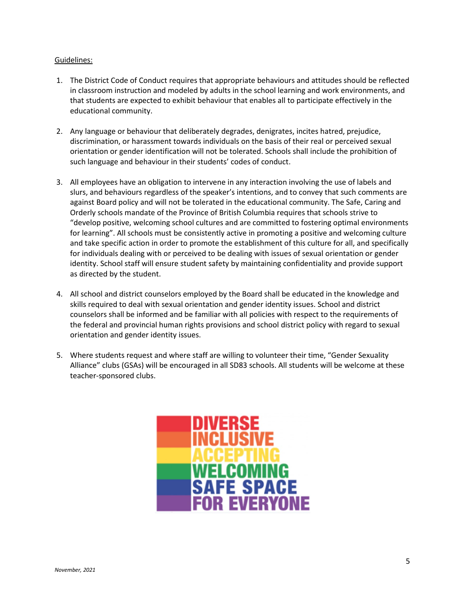#### Guidelines:

- 1. The District Code of Conduct requires that appropriate behaviours and attitudes should be reflected in classroom instruction and modeled by adults in the school learning and work environments, and that students are expected to exhibit behaviour that enables all to participate effectively in the educational community.
- 2. Any language or behaviour that deliberately degrades, denigrates, incites hatred, prejudice, discrimination, or harassment towards individuals on the basis of their real or perceived sexual orientation or gender identification will not be tolerated. Schools shall include the prohibition of such language and behaviour in their students' codes of conduct.
- 3. All employees have an obligation to intervene in any interaction involving the use of labels and slurs, and behaviours regardless of the speaker's intentions, and to convey that such comments are against Board policy and will not be tolerated in the educational community. The Safe, Caring and Orderly schools mandate of the Province of British Columbia requires that schools strive to "develop positive, welcoming school cultures and are committed to fostering optimal environments for learning". All schools must be consistently active in promoting a positive and welcoming culture and take specific action in order to promote the establishment of this culture for all, and specifically for individuals dealing with or perceived to be dealing with issues of sexual orientation or gender identity. School staff will ensure student safety by maintaining confidentiality and provide support as directed by the student.
- 4. All school and district counselors employed by the Board shall be educated in the knowledge and skills required to deal with sexual orientation and gender identity issues. School and district counselors shall be informed and be familiar with all policies with respect to the requirements of the federal and provincial human rights provisions and school district policy with regard to sexual orientation and gender identity issues.
- 5. Where students request and where staff are willing to volunteer their time, "Gender Sexuality Alliance" clubs (GSAs) will be encouraged in all SD83 schools. All students will be welcome at these teacher-sponsored clubs.

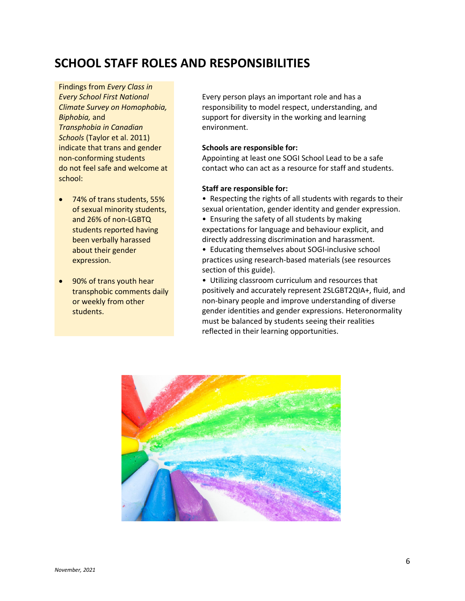# **SCHOOL STAFF ROLES AND RESPONSIBILITIES**

Findings from *Every Class in Every School First National Climate Survey on Homophobia, Biphobia,* and *Transphobia in Canadian Schools* (Taylor et al. 2011) indicate that trans and gender non-conforming students do not feel safe and welcome at school:

- 74% of trans students, 55% of sexual minority students, and 26% of non-LGBTQ students reported having been verbally harassed about their gender expression.
- 90% of trans youth hear transphobic comments daily or weekly from other students.

Every person plays an important role and has a responsibility to model respect, understanding, and support for diversity in the working and learning environment.

#### **Schools are responsible for:**

Appointing at least one SOGI School Lead to be a safe contact who can act as a resource for staff and students.

#### **Staff are responsible for:**

• Respecting the rights of all students with regards to their sexual orientation, gender identity and gender expression.

• Ensuring the safety of all students by making expectations for language and behaviour explicit, and directly addressing discrimination and harassment.

• Educating themselves about SOGI-inclusive school practices using research-based materials (see resources section of this guide).

• Utilizing classroom curriculum and resources that positively and accurately represent 2SLGBT2QIA+, fluid, and non-binary people and improve understanding of diverse gender identities and gender expressions. Heteronormality must be balanced by students seeing their realities reflected in their learning opportunities.

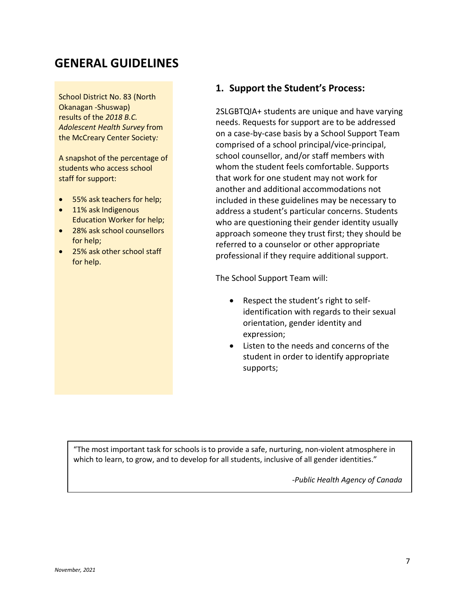### **GENERAL GUIDELINES**

School District No. 83 (North Okanagan -Shuswap) results of the *2018 B.C. Adolescent Health Survey* from the McCreary Center Society*:*

A snapshot of the percentage of students who access school staff for support:

- 55% ask teachers for help;
- 11% ask Indigenous Education Worker for help;
- 28% ask school counsellors for help;
- 25% ask other school staff for help.

#### **1. Support the Student's Process:**

2SLGBTQIA+ students are unique and have varying needs. Requests for support are to be addressed on a case-by-case basis by a School Support Team comprised of a school principal/vice-principal, school counsellor, and/or staff members with whom the student feels comfortable. Supports that work for one student may not work for another and additional accommodations not included in these guidelines may be necessary to address a student's particular concerns. Students who are questioning their gender identity usually approach someone they trust first; they should be referred to a counselor or other appropriate professional if they require additional support.

The School Support Team will:

- Respect the student's right to selfidentification with regards to their sexual orientation, gender identity and expression;
- Listen to the needs and concerns of the student in order to identify appropriate supports;

"The most important task for schools is to provide a safe, nurturing, non-violent atmosphere in which to learn, to grow, and to develop for all students, inclusive of all gender identities."

*-Public Health Agency of Canada*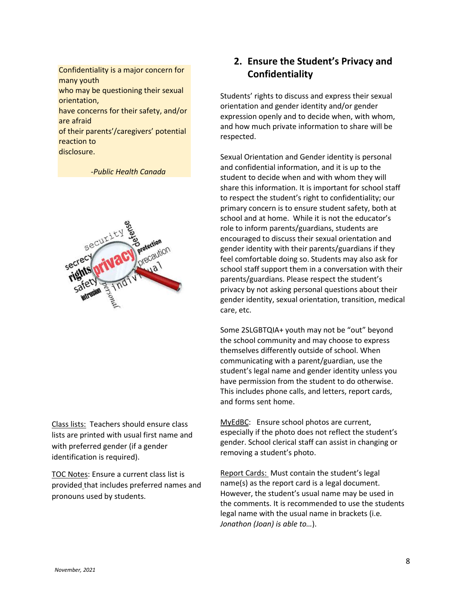Confidentiality is a major concern for many youth who may be questioning their sexual orientation, have concerns for their safety, and/or are afraid of their parents'/caregivers' potential reaction to disclosure.

 *-Public Health Canada*



Class lists: Teachers should ensure class lists are printed with usual first name and with preferred gender (if a gender identification is required).

TOC Notes: Ensure a current class list is provided that includes preferred names and pronouns used by students.

### **2. Ensure the Student's Privacy and Confidentiality**

Students' rights to discuss and express their sexual orientation and gender identity and/or gender expression openly and to decide when, with whom, and how much private information to share will be respected.

Sexual Orientation and Gender identity is personal and confidential information, and it is up to the student to decide when and with whom they will share this information. It is important for school staff to respect the student's right to confidentiality; our primary concern is to ensure student safety, both at school and at home. While it is not the educator's role to inform parents/guardians, students are encouraged to discuss their sexual orientation and gender identity with their parents/guardians if they feel comfortable doing so. Students may also ask for school staff support them in a conversation with their parents/guardians. Please respect the student's privacy by not asking personal questions about their gender identity, sexual orientation, transition, medical care, etc.

Some 2SLGBTQIA+ youth may not be "out" beyond the school community and may choose to express themselves differently outside of school. When communicating with a parent/guardian, use the student's legal name and gender identity unless you have permission from the student to do otherwise. This includes phone calls, and letters, report cards, and forms sent home.

MyEdBC: Ensure school photos are current, especially if the photo does not reflect the student's gender. School clerical staff can assist in changing or removing a student's photo.

Report Cards: Must contain the student's legal name(s) as the report card is a legal document. However, the student's usual name may be used in the comments. It is recommended to use the students legal name with the usual name in brackets (i.e*. Jonathon (Joan) is able to…*).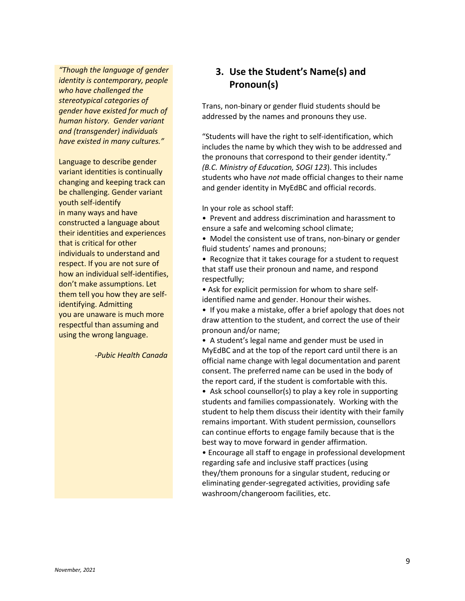*"Though the language of gender identity is contemporary, people who have challenged the stereotypical categories of gender have existed for much of human history. Gender variant and (transgender) individuals have existed in many cultures."* 

Language to describe gender variant identities is continually changing and keeping track can be challenging. Gender variant youth self-identify in many ways and have constructed a language about their identities and experiences that is critical for other individuals to understand and respect. If you are not sure of how an individual self-identifies, don't make assumptions. Let them tell you how they are selfidentifying. Admitting you are unaware is much more respectful than assuming and using the wrong language.

 *-Pubic Health Canada*

### **3. Use the Student's Name(s) and Pronoun(s)**

Trans, non-binary or gender fluid students should be addressed by the names and pronouns they use.

"Students will have the right to self-identification, which includes the name by which they wish to be addressed and the pronouns that correspond to their gender identity." *(B.C. Ministry of Education, SOGI 123*). This includes students who have *not* made official changes to their name and gender identity in MyEdBC and official records.

In your role as school staff:

• Prevent and address discrimination and harassment to ensure a safe and welcoming school climate;

• Model the consistent use of trans, non-binary or gender fluid students' names and pronouns;

• Recognize that it takes courage for a student to request that staff use their pronoun and name, and respond respectfully;

• Ask for explicit permission for whom to share selfidentified name and gender. Honour their wishes.

• If you make a mistake, offer a brief apology that does not draw attention to the student, and correct the use of their pronoun and/or name;

• A student's legal name and gender must be used in MyEdBC and at the top of the report card until there is an official name change with legal documentation and parent consent. The preferred name can be used in the body of the report card, if the student is comfortable with this.

• Ask school counsellor(s) to play a key role in supporting students and families compassionately. Working with the student to help them discuss their identity with their family remains important. With student permission, counsellors can continue efforts to engage family because that is the best way to move forward in gender affirmation.

• Encourage all staff to engage in professional development regarding safe and inclusive staff practices (using they/them pronouns for a singular student, reducing or eliminating gender-segregated activities, providing safe washroom/changeroom facilities, etc.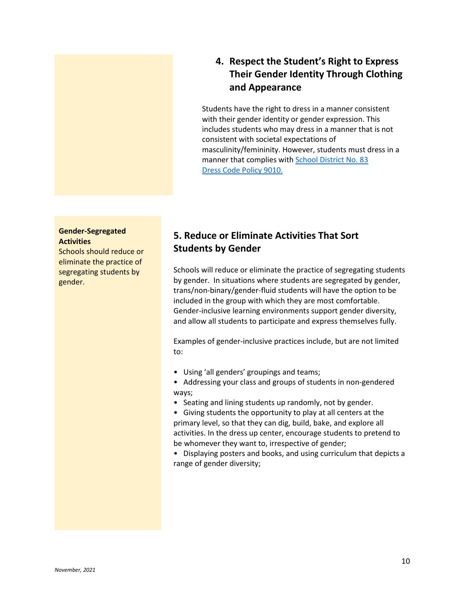

### **4. Respect the Student's Right to Express Their Gender Identity Through Clothing and Appearance**

Students have the right to dress in a manner consistent with their gender identity or gender expression. This includes students who may dress in a manner that is not consistent with societal expectations of masculinity/femininity. However, students must dress in a manner that complies with [School District No. 83](https://sd83.bc.ca/wp-content/uploads/2019/11/Policy-Binder-and-Index-2019-2020-as-of-November-22.pdf)  [Dress Code Policy 9010.](https://sd83.bc.ca/wp-content/uploads/2019/11/Policy-Binder-and-Index-2019-2020-as-of-November-22.pdf)

#### **Gender-Segregated Activities**

Schools should reduce or eliminate the practice of segregating students by gender.

### **5. Reduce or Eliminate Activities That Sort Students by Gender**

Schools will reduce or eliminate the practice of segregating students by gender. In situations where students are segregated by gender, trans/non-binary/gender-fluid students will have the option to be included in the group with which they are most comfortable. Gender-inclusive learning environments support gender diversity, and allow all students to participate and express themselves fully.

Examples of gender-inclusive practices include, but are not limited to:

- Using 'all genders' groupings and teams;
- Addressing your class and groups of students in non-gendered ways;
- Seating and lining students up randomly, not by gender.

• Giving students the opportunity to play at all centers at the primary level, so that they can dig, build, bake, and explore all activities. In the dress up center, encourage students to pretend to be whomever they want to, irrespective of gender;

• Displaying posters and books, and using curriculum that depicts a range of gender diversity;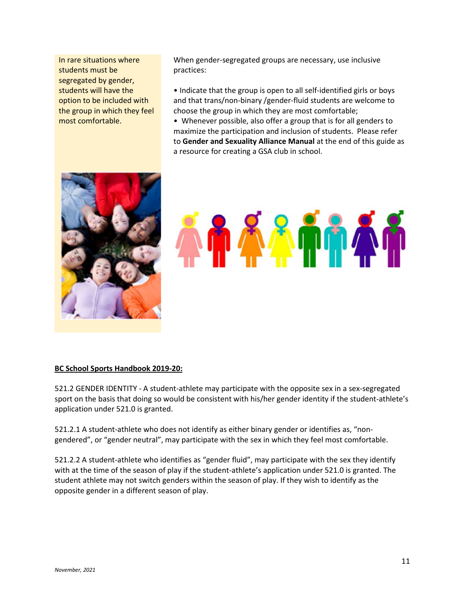In rare situations where students must be segregated by gender, students will have the option to be included with the group in which they feel most comfortable.

When gender-segregated groups are necessary, use inclusive practices:

• Indicate that the group is open to all self-identified girls or boys and that trans/non-binary /gender-fluid students are welcome to choose the group in which they are most comfortable;

• Whenever possible, also offer a group that is for all genders to maximize the participation and inclusion of students. Please refer to **Gender and Sexuality Alliance Manual** at the end of this guide as a resource for creating a GSA club in school.





#### **BC School Sports Handbook 2019-20:**

521.2 GENDER IDENTITY - A student-athlete may participate with the opposite sex in a sex-segregated sport on the basis that doing so would be consistent with his/her gender identity if the student-athlete's application under 521.0 is granted.

521.2.1 A student-athlete who does not identify as either binary gender or identifies as, "nongendered", or "gender neutral", may participate with the sex in which they feel most comfortable.

521.2.2 A student-athlete who identifies as "gender fluid", may participate with the sex they identify with at the time of the season of play if the student-athlete's application under 521.0 is granted. The student athlete may not switch genders within the season of play. If they wish to identify as the opposite gender in a different season of play.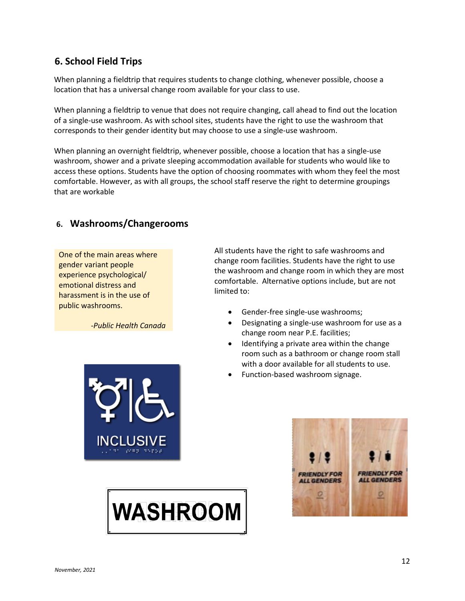### **6. School Field Trips**

When planning a fieldtrip that requires students to change clothing, whenever possible, choose a location that has a universal change room available for your class to use.

When planning a fieldtrip to venue that does not require changing, call ahead to find out the location of a single-use washroom. As with school sites, students have the right to use the washroom that corresponds to their gender identity but may choose to use a single-use washroom.

When planning an overnight fieldtrip, whenever possible, choose a location that has a single-use washroom, shower and a private sleeping accommodation available for students who would like to access these options. Students have the option of choosing roommates with whom they feel the most comfortable. However, as with all groups, the school staff reserve the right to determine groupings that are workable

### **6. Washrooms/Changerooms**

One of the main areas where gender variant people experience psychological/ emotional distress and harassment is in the use of public washrooms.

 *-Public Health Canada*

All students have the right to safe washrooms and change room facilities. Students have the right to use the washroom and change room in which they are most comfortable. Alternative options include, but are not limited to:

- Gender-free single-use washrooms;
- Designating a single-use washroom for use as a change room near P.E. facilities;
- Identifying a private area within the change room such as a bathroom or change room stall with a door available for all students to use.
- Function-based washroom signage.



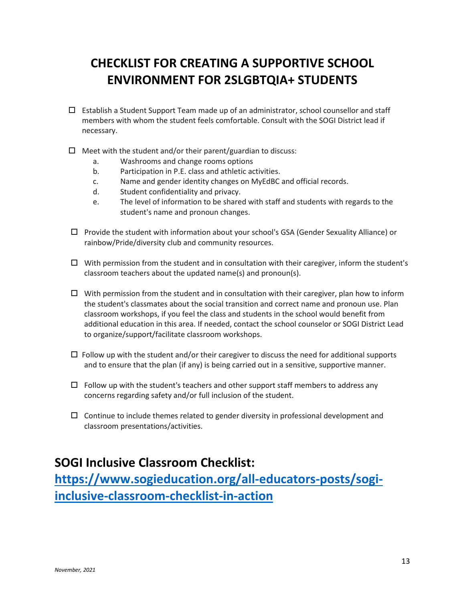# **CHECKLIST FOR CREATING A SUPPORTIVE SCHOOL ENVIRONMENT FOR 2SLGBTQIA+ STUDENTS**

- $\Box$  Establish a Student Support Team made up of an administrator, school counsellor and staff members with whom the student feels comfortable. Consult with the SOGI District lead if necessary.
- $\Box$  Meet with the student and/or their parent/guardian to discuss:
	- a. Washrooms and change rooms options
	- b. Participation in P.E. class and athletic activities.
	- c. Name and gender identity changes on MyEdBC and official records.
	- d. Student confidentiality and privacy.
	- e. The level of information to be shared with staff and students with regards to the student's name and pronoun changes.
- $\Box$  Provide the student with information about your school's GSA (Gender Sexuality Alliance) or rainbow/Pride/diversity club and community resources.
- $\Box$  With permission from the student and in consultation with their caregiver, inform the student's classroom teachers about the updated name(s) and pronoun(s).
- $\Box$  With permission from the student and in consultation with their caregiver, plan how to inform the student's classmates about the social transition and correct name and pronoun use. Plan classroom workshops, if you feel the class and students in the school would benefit from additional education in this area. If needed, contact the school counselor or SOGI District Lead to organize/support/facilitate classroom workshops.
- $\Box$  Follow up with the student and/or their caregiver to discuss the need for additional supports and to ensure that the plan (if any) is being carried out in a sensitive, supportive manner.
- $\Box$  Follow up with the student's teachers and other support staff members to address any concerns regarding safety and/or full inclusion of the student.
- $\Box$  Continue to include themes related to gender diversity in professional development and classroom presentations/activities.

### **SOGI Inclusive Classroom Checklist:**

**[https://www.sogieducation.org/all-educators-posts/sogi](https://www.sogieducation.org/all-educators-posts/sogi-inclusive-classroom-checklist-in-action)[inclusive-classroom-checklist-in-action](https://www.sogieducation.org/all-educators-posts/sogi-inclusive-classroom-checklist-in-action)**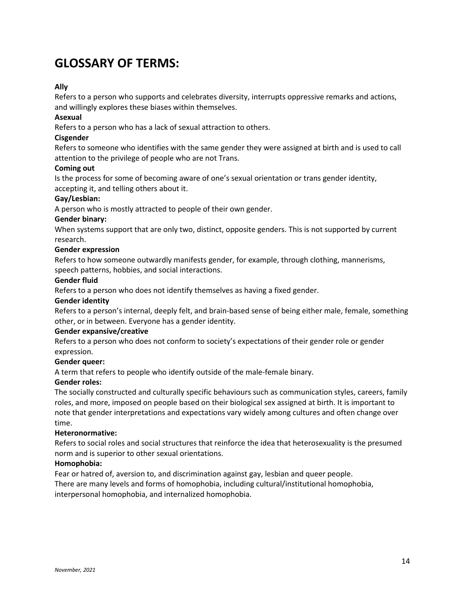## **GLOSSARY OF TERMS:**

#### **Ally**

Refers to a person who supports and celebrates diversity, interrupts oppressive remarks and actions, and willingly explores these biases within themselves.

#### **Asexual**

Refers to a person who has a lack of sexual attraction to others.

#### **Cisgender**

Refers to someone who identifies with the same gender they were assigned at birth and is used to call attention to the privilege of people who are not Trans.

#### **Coming out**

Is the process for some of becoming aware of one's sexual orientation or trans gender identity, accepting it, and telling others about it.

#### **Gay/Lesbian:**

A person who is mostly attracted to people of their own gender.

#### **Gender binary:**

When systems support that are only two, distinct, opposite genders. This is not supported by current research.

#### **Gender expression**

Refers to how someone outwardly manifests gender, for example, through clothing, mannerisms, speech patterns, hobbies, and social interactions.

#### **Gender fluid**

Refers to a person who does not identify themselves as having a fixed gender.

#### **Gender identity**

Refers to a person's internal, deeply felt, and brain-based sense of being either male, female, something other, or in between. Everyone has a gender identity.

#### **Gender expansive/creative**

Refers to a person who does not conform to society's expectations of their gender role or gender expression.

#### **Gender queer:**

A term that refers to people who identify outside of the male-female binary.

#### **Gender roles:**

The socially constructed and culturally specific behaviours such as communication styles, careers, family roles, and more, imposed on people based on their biological sex assigned at birth. It is important to note that gender interpretations and expectations vary widely among cultures and often change over time.

#### **Heteronormative:**

Refers to social roles and social structures that reinforce the idea that heterosexuality is the presumed norm and is superior to other sexual orientations.

#### **Homophobia:**

Fear or hatred of, aversion to, and discrimination against gay, lesbian and queer people. There are many levels and forms of homophobia, including cultural/institutional homophobia, interpersonal homophobia, and internalized homophobia.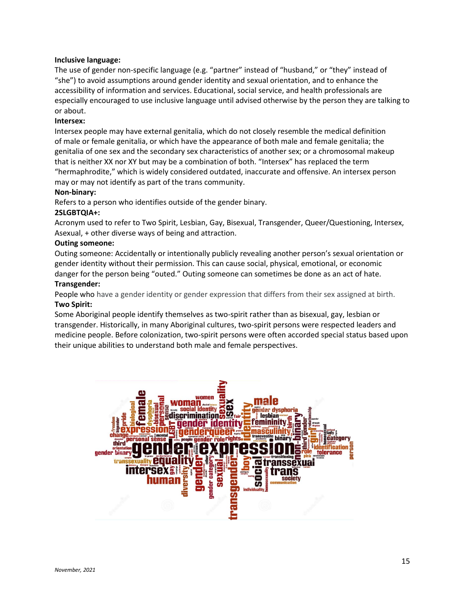#### **Inclusive language:**

The use of gender non-specific language (e.g. "partner" instead of "husband," or "they" instead of "she") to avoid assumptions around gender identity and sexual orientation, and to enhance the accessibility of information and services. Educational, social service, and health professionals are especially encouraged to use inclusive language until advised otherwise by the person they are talking to or about.

#### **Intersex:**

Intersex people may have external genitalia, which do not closely resemble the medical definition of male or female genitalia, or which have the appearance of both male and female genitalia; the genitalia of one sex and the secondary sex characteristics of another sex; or a chromosomal makeup that is neither XX nor XY but may be a combination of both. "Intersex" has replaced the term "hermaphrodite," which is widely considered outdated, inaccurate and offensive. An intersex person may or may not identify as part of the trans community.

#### **Non-binary:**

Refers to a person who identifies outside of the gender binary.

#### **2SLGBTQIA+:**

Acronym used to refer to Two Spirit, Lesbian, Gay, Bisexual, Transgender, Queer/Questioning, Intersex, Asexual, + other diverse ways of being and attraction.

#### **Outing someone:**

Outing someone: Accidentally or intentionally publicly revealing another person's sexual orientation or gender identity without their permission. This can cause social, physical, emotional, or economic danger for the person being "outed." Outing someone can sometimes be done as an act of hate.

#### **Transgender:**

People who have a gender identity or gender expression that differs from their sex assigned at birth. **Two Spirit:**

Some Aboriginal people identify themselves as two-spirit rather than as bisexual, gay, lesbian or transgender. Historically, in many Aboriginal cultures, two-spirit persons were respected leaders and medicine people. Before colonization, two-spirit persons were often accorded special status based upon their unique abilities to understand both male and female perspectives.

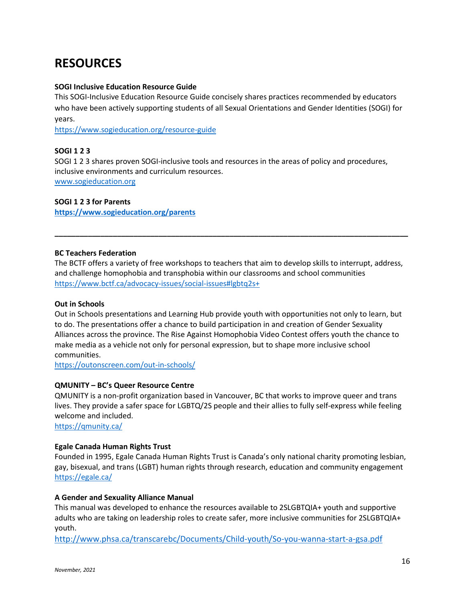# **RESOURCES**

#### **SOGI Inclusive Education Resource Guide**

This SOGI-Inclusive Education Resource Guide concisely shares practices recommended by educators who have been actively supporting students of all Sexual Orientations and Gender Identities (SOGI) for years.

<https://www.sogieducation.org/resource-guide>

#### **SOGI 1 2 3**

SOGI 1 2 3 shares proven SOGI-inclusive tools and resources in the areas of policy and procedures, inclusive environments and curriculum resources. [www.sogieducation.org](http://www.sogieducation.org/)

**SOGI 1 2 3 for Parents**

**<https://www.sogieducation.org/parents>**

#### **BC Teachers Federation**

The BCTF offers a variety of free workshops to teachers that aim to develop skills to interrupt, address, and challenge homophobia and transphobia within our classrooms and school communities <https://www.bctf.ca/advocacy-issues/social-issues#lgbtq2s+>

**\_\_\_\_\_\_\_\_\_\_\_\_\_\_\_\_\_\_\_\_\_\_\_\_\_\_\_\_\_\_\_\_\_\_\_\_\_\_\_\_\_\_\_\_\_\_\_\_\_\_\_\_\_\_\_\_\_\_\_\_\_\_\_\_\_\_\_\_\_\_\_\_\_\_\_\_\_\_\_\_\_\_\_\_\_**

#### **Out in Schools**

Out in Schools presentations and Learning Hub provide youth with opportunities not only to learn, but to do. The presentations offer a chance to build participation in and creation of Gender Sexuality Alliances across the province. The Rise Against Homophobia Video Contest offers youth the chance to make media as a vehicle not only for personal expression, but to shape more inclusive school communities.

<https://outonscreen.com/out-in-schools/>

#### **QMUNITY – BC's Queer Resource Centre**

QMUNITY is a non-profit organization based in Vancouver, BC that works to improve queer and trans lives. They provide a safer space for LGBTQ/2S people and their allies to fully self-express while feeling welcome and included.

<https://qmunity.ca/>

#### **Egale Canada Human Rights Trust**

Founded in 1995, Egale Canada Human Rights Trust is Canada's only national charity promoting lesbian, gay, bisexual, and trans (LGBT) human rights through research, education and community engagement <https://egale.ca/>

#### **A Gender and Sexuality Alliance Manual**

This manual was developed to enhance the resources available to 2SLGBTQIA+ youth and supportive adults who are taking on leadership roles to create safer, more inclusive communities for 2SLGBTQIA+ youth.

<http://www.phsa.ca/transcarebc/Documents/Child-youth/So-you-wanna-start-a-gsa.pdf>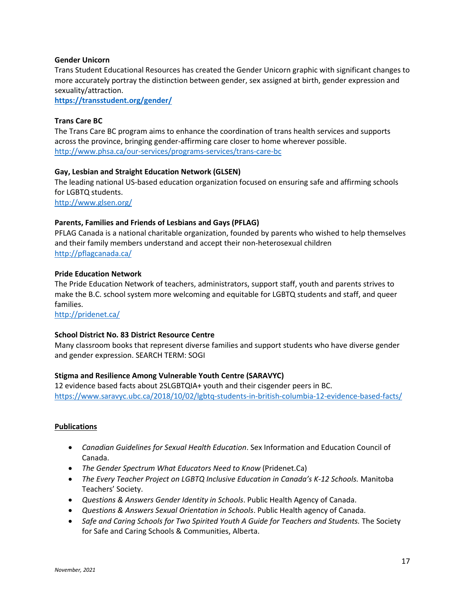#### **Gender Unicorn**

Trans Student Educational Resources has created the Gender Unicorn graphic with significant changes to more accurately portray the distinction between gender, sex assigned at birth, gender expression and sexuality/attraction.

**<https://transstudent.org/gender/>**

#### **Trans Care BC**

The Trans Care BC program aims to enhance the coordination of trans health services and supports across the province, bringing gender-affirming care closer to home wherever possible. <http://www.phsa.ca/our-services/programs-services/trans-care-bc>

#### **Gay, Lesbian and Straight Education Network (GLSEN)**

The leading national US-based education organization focused on ensuring safe and affirming schools for LGBTQ students.

<http://www.glsen.org/>

#### **Parents, Families and Friends of Lesbians and Gays (PFLAG)**

PFLAG Canada is a national charitable organization, founded by parents who wished to help themselves and their family members understand and accept their non-heterosexual children <http://pflagcanada.ca/>

#### **Pride Education Network**

The Pride Education Network of teachers, administrators, support staff, youth and parents strives to make the B.C. school system more welcoming and equitable for LGBTQ students and staff, and queer families.

<http://pridenet.ca/>

#### **School District No. 83 District Resource Centre**

Many classroom books that represent diverse families and support students who have diverse gender and gender expression. SEARCH TERM: SOGI

#### **Stigma and Resilience Among Vulnerable Youth Centre (SARAVYC)**

12 evidence based facts about 2SLGBTQIA+ youth and their cisgender peers in BC. <https://www.saravyc.ubc.ca/2018/10/02/lgbtq-students-in-british-columbia-12-evidence-based-facts/>

#### **Publications**

- *Canadian Guidelines for Sexual Health Education*. Sex Information and Education Council of Canada.
- *The Gender Spectrum What Educators Need to Know* (Pridenet.Ca)
- *The Every Teacher Project on LGBTQ Inclusive Education in Canada's K-12 Schools.* Manitoba Teachers' Society.
- *Questions & Answers Gender Identity in Schools*. Public Health Agency of Canada.
- *Questions & Answers Sexual Orientation in Schools*. Public Health agency of Canada.
- Safe and Caring Schools for Two Spirited Youth A Guide for Teachers and Students. The Society for Safe and Caring Schools & Communities, Alberta.